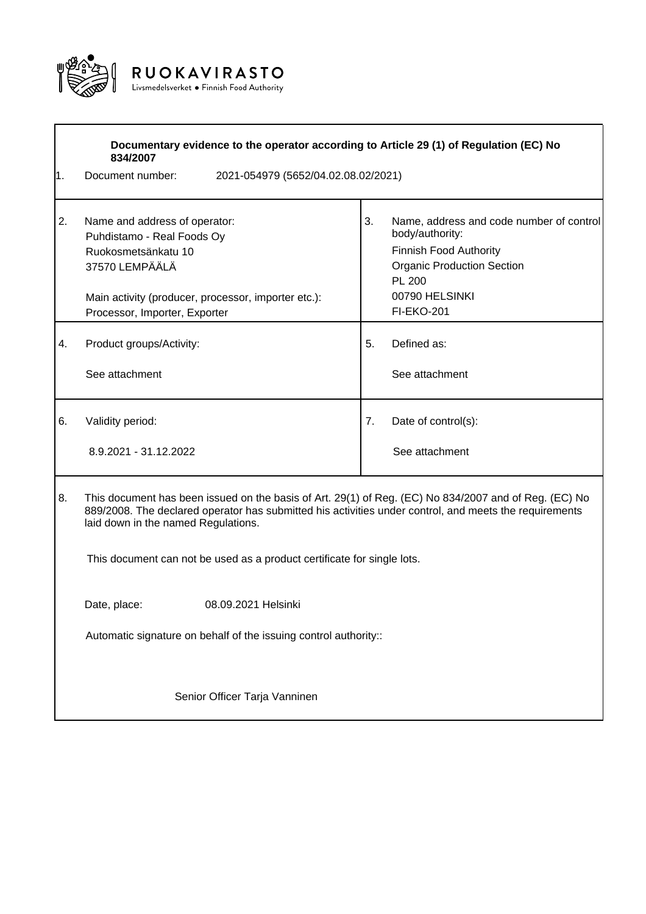

|                                     | Documentary evidence to the operator according to Article 29 (1) of Regulation (EC) No<br>834/2007                                                                                                                                                                                                                                |    |                                                                                                                                                                             |  |  |  |
|-------------------------------------|-----------------------------------------------------------------------------------------------------------------------------------------------------------------------------------------------------------------------------------------------------------------------------------------------------------------------------------|----|-----------------------------------------------------------------------------------------------------------------------------------------------------------------------------|--|--|--|
| 1.                                  | Document number:<br>2021-054979 (5652/04.02.08.02/2021)                                                                                                                                                                                                                                                                           |    |                                                                                                                                                                             |  |  |  |
| 2.                                  | Name and address of operator:<br>Puhdistamo - Real Foods Oy<br>Ruokosmetsänkatu 10<br>37570 LEMPÄÄLÄ<br>Main activity (producer, processor, importer etc.):<br>Processor, Importer, Exporter                                                                                                                                      | 3. | Name, address and code number of control<br>body/authority:<br>Finnish Food Authority<br><b>Organic Production Section</b><br>PL 200<br>00790 HELSINKI<br><b>FI-EKO-201</b> |  |  |  |
| 4.                                  | Product groups/Activity:<br>See attachment                                                                                                                                                                                                                                                                                        | 5. | Defined as:<br>See attachment                                                                                                                                               |  |  |  |
| 6.                                  | Validity period:<br>8.9.2021 - 31.12.2022                                                                                                                                                                                                                                                                                         | 7. | Date of control(s):<br>See attachment                                                                                                                                       |  |  |  |
| 8.                                  | This document has been issued on the basis of Art. 29(1) of Reg. (EC) No 834/2007 and of Reg. (EC) No<br>889/2008. The declared operator has submitted his activities under control, and meets the requirements<br>laid down in the named Regulations.<br>This document can not be used as a product certificate for single lots. |    |                                                                                                                                                                             |  |  |  |
|                                     |                                                                                                                                                                                                                                                                                                                                   |    |                                                                                                                                                                             |  |  |  |
| 08.09.2021 Helsinki<br>Date, place: |                                                                                                                                                                                                                                                                                                                                   |    |                                                                                                                                                                             |  |  |  |
|                                     | Automatic signature on behalf of the issuing control authority::                                                                                                                                                                                                                                                                  |    |                                                                                                                                                                             |  |  |  |
|                                     | Senior Officer Tarja Vanninen                                                                                                                                                                                                                                                                                                     |    |                                                                                                                                                                             |  |  |  |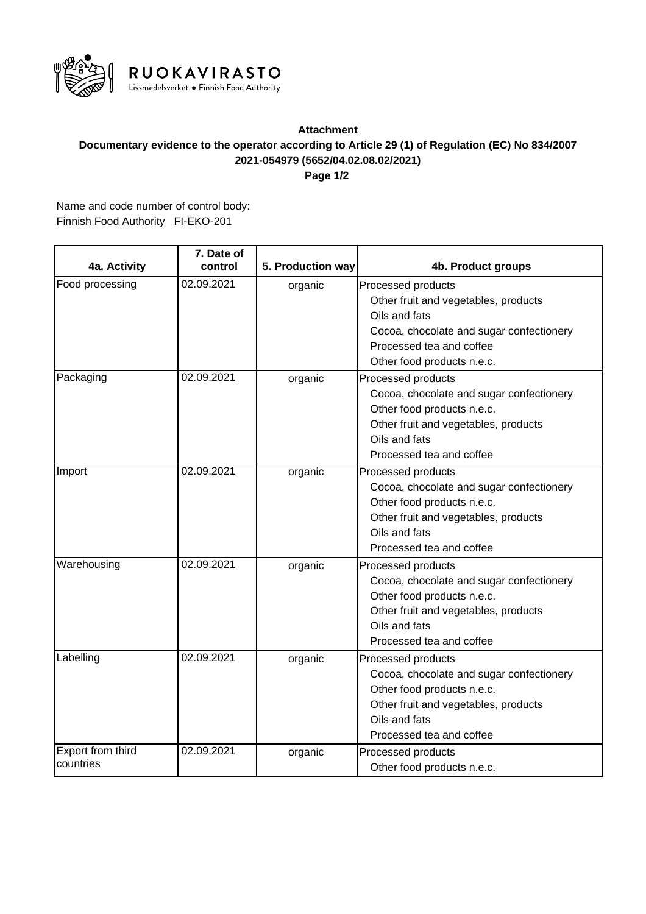

## **2021-054979 (5652/04.02.08.02/2021) Documentary evidence to the operator according to Article 29 (1) of Regulation (EC) No 834/2007 Attachment**

**Page 1/2**

Finnish Food Authority FI-EKO-201 Name and code number of control body:

| 4a. Activity                   | 7. Date of<br>control | 5. Production way | 4b. Product groups                                                                                                                                                                |
|--------------------------------|-----------------------|-------------------|-----------------------------------------------------------------------------------------------------------------------------------------------------------------------------------|
| Food processing                | 02.09.2021            | organic           | Processed products<br>Other fruit and vegetables, products<br>Oils and fats<br>Cocoa, chocolate and sugar confectionery<br>Processed tea and coffee<br>Other food products n.e.c. |
| Packaging                      | 02.09.2021            | organic           | Processed products<br>Cocoa, chocolate and sugar confectionery<br>Other food products n.e.c.<br>Other fruit and vegetables, products<br>Oils and fats<br>Processed tea and coffee |
| Import                         | 02.09.2021            | organic           | Processed products<br>Cocoa, chocolate and sugar confectionery<br>Other food products n.e.c.<br>Other fruit and vegetables, products<br>Oils and fats<br>Processed tea and coffee |
| Warehousing                    | 02.09.2021            | organic           | Processed products<br>Cocoa, chocolate and sugar confectionery<br>Other food products n.e.c.<br>Other fruit and vegetables, products<br>Oils and fats<br>Processed tea and coffee |
| Labelling                      | 02.09.2021            | organic           | Processed products<br>Cocoa, chocolate and sugar confectionery<br>Other food products n.e.c.<br>Other fruit and vegetables, products<br>Oils and fats<br>Processed tea and coffee |
| Export from third<br>countries | 02.09.2021            | organic           | Processed products<br>Other food products n.e.c.                                                                                                                                  |